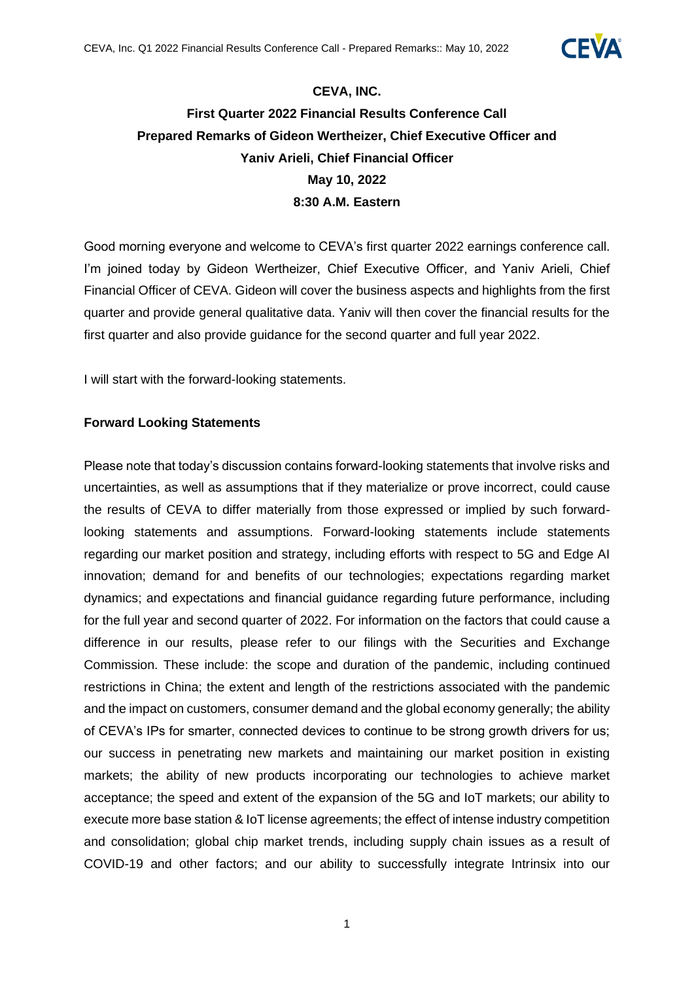

# **CEVA, INC. First Quarter 2022 Financial Results Conference Call Prepared Remarks of Gideon Wertheizer, Chief Executive Officer and Yaniv Arieli, Chief Financial Officer May 10, 2022 8:30 A.M. Eastern**

Good morning everyone and welcome to CEVA's first quarter 2022 earnings conference call. I'm joined today by Gideon Wertheizer, Chief Executive Officer, and Yaniv Arieli, Chief Financial Officer of CEVA. Gideon will cover the business aspects and highlights from the first quarter and provide general qualitative data. Yaniv will then cover the financial results for the first quarter and also provide guidance for the second quarter and full year 2022.

I will start with the forward-looking statements.

#### **Forward Looking Statements**

Please note that today's discussion contains forward-looking statements that involve risks and uncertainties, as well as assumptions that if they materialize or prove incorrect, could cause the results of CEVA to differ materially from those expressed or implied by such forwardlooking statements and assumptions. Forward-looking statements include statements regarding our market position and strategy, including efforts with respect to 5G and Edge AI innovation; demand for and benefits of our technologies; expectations regarding market dynamics; and expectations and financial guidance regarding future performance, including for the full year and second quarter of 2022. For information on the factors that could cause a difference in our results, please refer to our filings with the Securities and Exchange Commission. These include: the scope and duration of the pandemic, including continued restrictions in China; the extent and length of the restrictions associated with the pandemic and the impact on customers, consumer demand and the global economy generally; the ability of CEVA's IPs for smarter, connected devices to continue to be strong growth drivers for us; our success in penetrating new markets and maintaining our market position in existing markets; the ability of new products incorporating our technologies to achieve market acceptance; the speed and extent of the expansion of the 5G and IoT markets; our ability to execute more base station & IoT license agreements; the effect of intense industry competition and consolidation; global chip market trends, including supply chain issues as a result of COVID-19 and other factors; and our ability to successfully integrate Intrinsix into our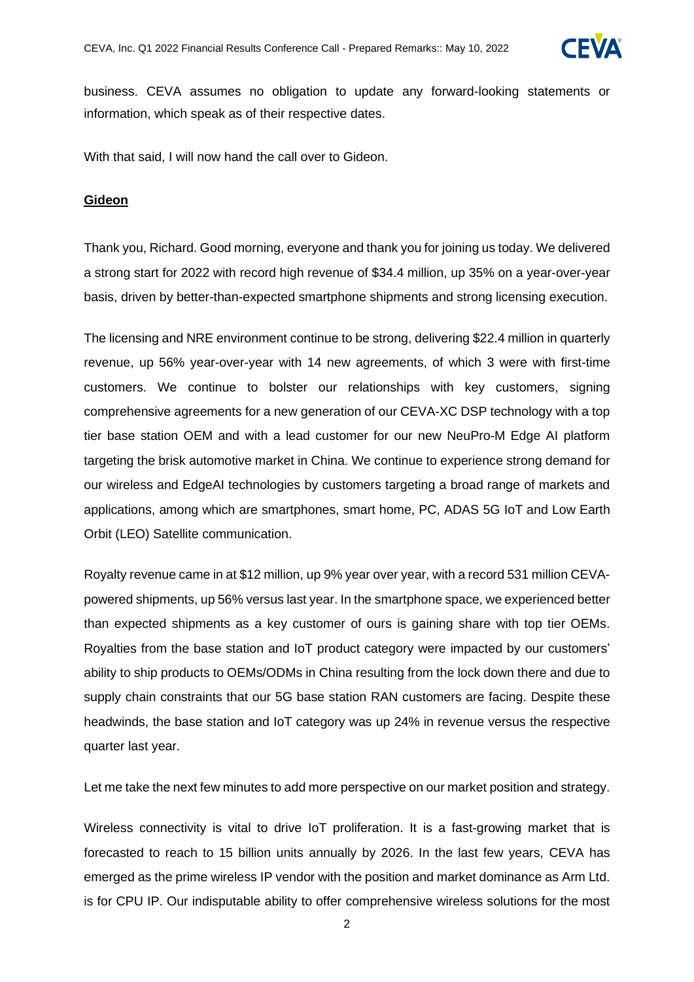

business. CEVA assumes no obligation to update any forward-looking statements or information, which speak as of their respective dates.

With that said, I will now hand the call over to Gideon.

#### **Gideon**

Thank you, Richard. Good morning, everyone and thank you for joining us today. We delivered a strong start for 2022 with record high revenue of \$34.4 million, up 35% on a year-over-year basis, driven by better-than-expected smartphone shipments and strong licensing execution.

The licensing and NRE environment continue to be strong, delivering \$22.4 million in quarterly revenue, up 56% year-over-year with 14 new agreements, of which 3 were with first-time customers. We continue to bolster our relationships with key customers, signing comprehensive agreements for a new generation of our CEVA-XC DSP technology with a top tier base station OEM and with a lead customer for our new NeuPro-M Edge AI platform targeting the brisk automotive market in China. We continue to experience strong demand for our wireless and EdgeAI technologies by customers targeting a broad range of markets and applications, among which are smartphones, smart home, PC, ADAS 5G IoT and Low Earth Orbit (LEO) Satellite communication.

Royalty revenue came in at \$12 million, up 9% year over year, with a record 531 million CEVApowered shipments, up 56% versus last year. In the smartphone space, we experienced better than expected shipments as a key customer of ours is gaining share with top tier OEMs. Royalties from the base station and IoT product category were impacted by our customers' ability to ship products to OEMs/ODMs in China resulting from the lock down there and due to supply chain constraints that our 5G base station RAN customers are facing. Despite these headwinds, the base station and IoT category was up 24% in revenue versus the respective quarter last year.

Let me take the next few minutes to add more perspective on our market position and strategy.

Wireless connectivity is vital to drive IoT proliferation. It is a fast-growing market that is forecasted to reach to 15 billion units annually by 2026. In the last few years, CEVA has emerged as the prime wireless IP vendor with the position and market dominance as Arm Ltd. is for CPU IP. Our indisputable ability to offer comprehensive wireless solutions for the most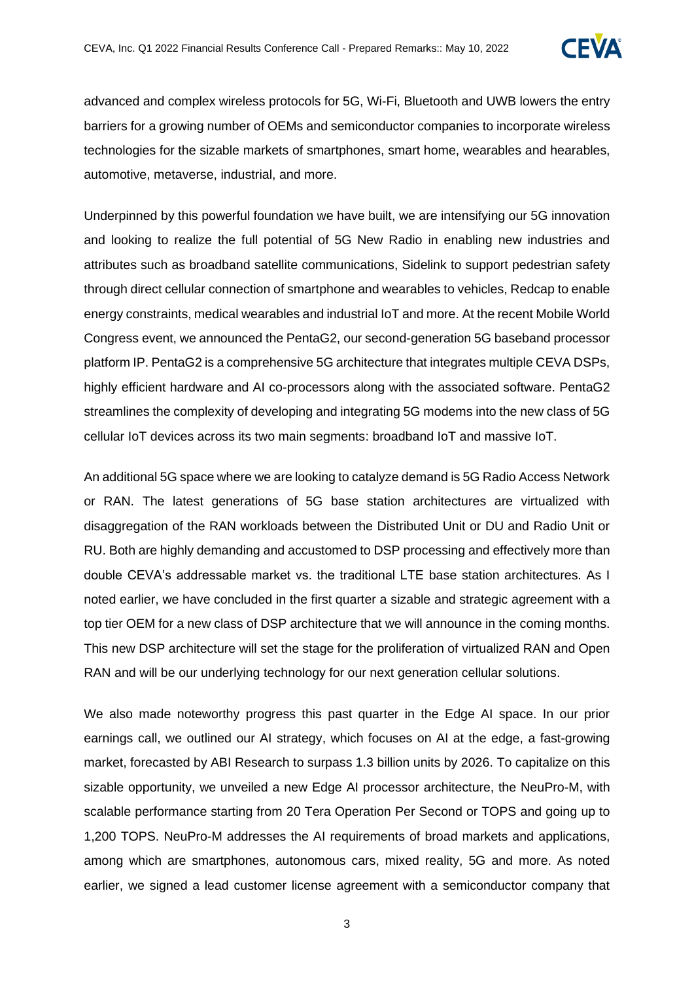

advanced and complex wireless protocols for 5G, Wi-Fi, Bluetooth and UWB lowers the entry barriers for a growing number of OEMs and semiconductor companies to incorporate wireless technologies for the sizable markets of smartphones, smart home, wearables and hearables, automotive, metaverse, industrial, and more.

Underpinned by this powerful foundation we have built, we are intensifying our 5G innovation and looking to realize the full potential of 5G New Radio in enabling new industries and attributes such as broadband satellite communications, Sidelink to support pedestrian safety through direct cellular connection of smartphone and wearables to vehicles, Redcap to enable energy constraints, medical wearables and industrial IoT and more. At the recent Mobile World Congress event, we announced the PentaG2, our second-generation 5G baseband processor platform IP. PentaG2 is a comprehensive 5G architecture that integrates multiple CEVA DSPs, highly efficient hardware and AI co-processors along with the associated software. PentaG2 streamlines the complexity of developing and integrating 5G modems into the new class of 5G cellular IoT devices across its two main segments: broadband IoT and massive IoT.

An additional 5G space where we are looking to catalyze demand is 5G Radio Access Network or RAN. The latest generations of 5G base station architectures are virtualized with disaggregation of the RAN workloads between the Distributed Unit or DU and Radio Unit or RU. Both are highly demanding and accustomed to DSP processing and effectively more than double CEVA's addressable market vs. the traditional LTE base station architectures. As I noted earlier, we have concluded in the first quarter a sizable and strategic agreement with a top tier OEM for a new class of DSP architecture that we will announce in the coming months. This new DSP architecture will set the stage for the proliferation of virtualized RAN and Open RAN and will be our underlying technology for our next generation cellular solutions.

We also made noteworthy progress this past quarter in the Edge AI space. In our prior earnings call, we outlined our AI strategy, which focuses on AI at the edge, a fast-growing market, forecasted by ABI Research to surpass 1.3 billion units by 2026. To capitalize on this sizable opportunity, we unveiled a new Edge AI processor architecture, the NeuPro-M, with scalable performance starting from 20 Tera Operation Per Second or TOPS and going up to 1,200 TOPS. NeuPro-M addresses the AI requirements of broad markets and applications, among which are smartphones, autonomous cars, mixed reality, 5G and more. As noted earlier, we signed a lead customer license agreement with a semiconductor company that

3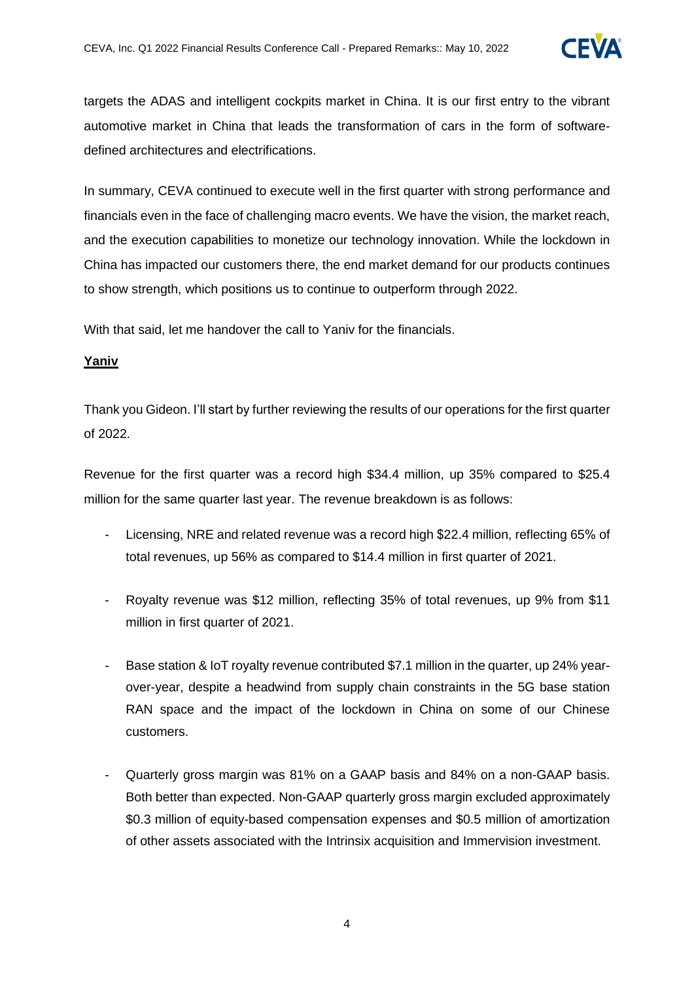

targets the ADAS and intelligent cockpits market in China. It is our first entry to the vibrant automotive market in China that leads the transformation of cars in the form of softwaredefined architectures and electrifications.

In summary, CEVA continued to execute well in the first quarter with strong performance and financials even in the face of challenging macro events. We have the vision, the market reach, and the execution capabilities to monetize our technology innovation. While the lockdown in China has impacted our customers there, the end market demand for our products continues to show strength, which positions us to continue to outperform through 2022.

With that said, let me handover the call to Yaniv for the financials.

#### **Yaniv**

Thank you Gideon. I'll start by further reviewing the results of our operations for the first quarter of 2022.

Revenue for the first quarter was a record high \$34.4 million, up 35% compared to \$25.4 million for the same quarter last year. The revenue breakdown is as follows:

- Licensing, NRE and related revenue was a record high \$22.4 million, reflecting 65% of total revenues, up 56% as compared to \$14.4 million in first quarter of 2021.
- Royalty revenue was \$12 million, reflecting 35% of total revenues, up 9% from \$11 million in first quarter of 2021.
- Base station & IoT royalty revenue contributed \$7.1 million in the quarter, up 24% yearover-year, despite a headwind from supply chain constraints in the 5G base station RAN space and the impact of the lockdown in China on some of our Chinese customers.
- Quarterly gross margin was 81% on a GAAP basis and 84% on a non-GAAP basis. Both better than expected. Non-GAAP quarterly gross margin excluded approximately \$0.3 million of equity-based compensation expenses and \$0.5 million of amortization of other assets associated with the Intrinsix acquisition and Immervision investment.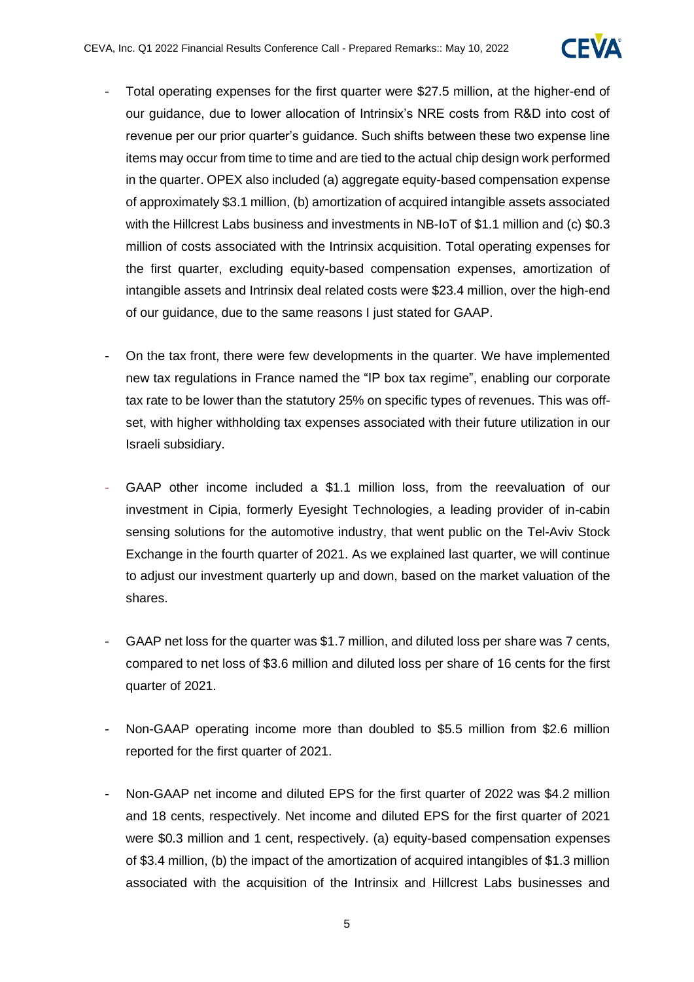

- Total operating expenses for the first quarter were \$27.5 million, at the higher-end of our guidance, due to lower allocation of Intrinsix's NRE costs from R&D into cost of revenue per our prior quarter's guidance. Such shifts between these two expense line items may occur from time to time and are tied to the actual chip design work performed in the quarter. OPEX also included (a) aggregate equity-based compensation expense of approximately \$3.1 million, (b) amortization of acquired intangible assets associated with the Hillcrest Labs business and investments in NB-IoT of \$1.1 million and (c) \$0.3 million of costs associated with the Intrinsix acquisition. Total operating expenses for the first quarter, excluding equity-based compensation expenses, amortization of intangible assets and Intrinsix deal related costs were \$23.4 million, over the high-end of our guidance, due to the same reasons I just stated for GAAP.
- On the tax front, there were few developments in the quarter. We have implemented new tax regulations in France named the "IP box tax regime", enabling our corporate tax rate to be lower than the statutory 25% on specific types of revenues. This was offset, with higher withholding tax expenses associated with their future utilization in our Israeli subsidiary.
- GAAP other income included a \$1.1 million loss, from the reevaluation of our investment in Cipia, formerly Eyesight Technologies, a leading provider of in-cabin sensing solutions for the automotive industry, that went public on the Tel-Aviv Stock Exchange in the fourth quarter of 2021. As we explained last quarter, we will continue to adjust our investment quarterly up and down, based on the market valuation of the shares.
- GAAP net loss for the quarter was \$1.7 million, and diluted loss per share was 7 cents, compared to net loss of \$3.6 million and diluted loss per share of 16 cents for the first quarter of 2021.
- Non-GAAP operating income more than doubled to \$5.5 million from \$2.6 million reported for the first quarter of 2021.
- Non-GAAP net income and diluted EPS for the first quarter of 2022 was \$4.2 million and 18 cents, respectively. Net income and diluted EPS for the first quarter of 2021 were \$0.3 million and 1 cent, respectively. (a) equity-based compensation expenses of \$3.4 million, (b) the impact of the amortization of acquired intangibles of \$1.3 million associated with the acquisition of the Intrinsix and Hillcrest Labs businesses and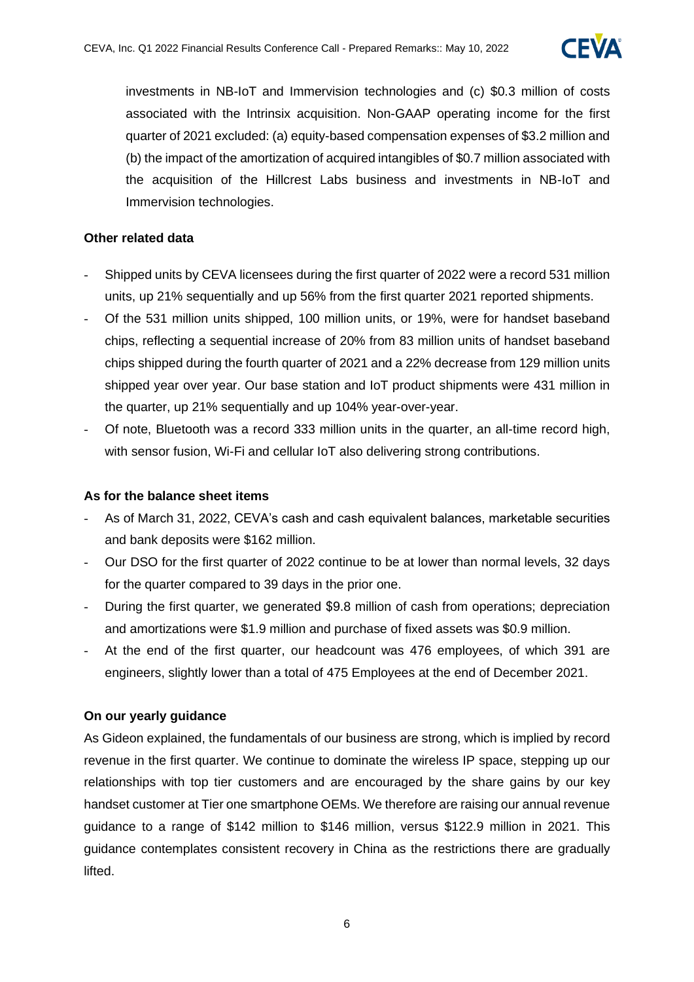

investments in NB-IoT and Immervision technologies and (c) \$0.3 million of costs associated with the Intrinsix acquisition. Non-GAAP operating income for the first quarter of 2021 excluded: (a) equity-based compensation expenses of \$3.2 million and (b) the impact of the amortization of acquired intangibles of \$0.7 million associated with the acquisition of the Hillcrest Labs business and investments in NB-IoT and Immervision technologies.

#### **Other related data**

- Shipped units by CEVA licensees during the first quarter of 2022 were a record 531 million units, up 21% sequentially and up 56% from the first quarter 2021 reported shipments.
- Of the 531 million units shipped, 100 million units, or 19%, were for handset baseband chips, reflecting a sequential increase of 20% from 83 million units of handset baseband chips shipped during the fourth quarter of 2021 and a 22% decrease from 129 million units shipped year over year. Our base station and IoT product shipments were 431 million in the quarter, up 21% sequentially and up 104% year-over-year.
- Of note. Bluetooth was a record 333 million units in the quarter, an all-time record high, with sensor fusion, Wi-Fi and cellular IoT also delivering strong contributions.

#### **As for the balance sheet items**

- As of March 31, 2022, CEVA's cash and cash equivalent balances, marketable securities and bank deposits were \$162 million.
- Our DSO for the first quarter of 2022 continue to be at lower than normal levels, 32 days for the quarter compared to 39 days in the prior one.
- During the first quarter, we generated \$9.8 million of cash from operations; depreciation and amortizations were \$1.9 million and purchase of fixed assets was \$0.9 million.
- At the end of the first quarter, our headcount was 476 employees, of which 391 are engineers, slightly lower than a total of 475 Employees at the end of December 2021.

#### **On our yearly guidance**

As Gideon explained, the fundamentals of our business are strong, which is implied by record revenue in the first quarter. We continue to dominate the wireless IP space, stepping up our relationships with top tier customers and are encouraged by the share gains by our key handset customer at Tier one smartphone OEMs. We therefore are raising our annual revenue guidance to a range of \$142 million to \$146 million, versus \$122.9 million in 2021. This guidance contemplates consistent recovery in China as the restrictions there are gradually lifted.